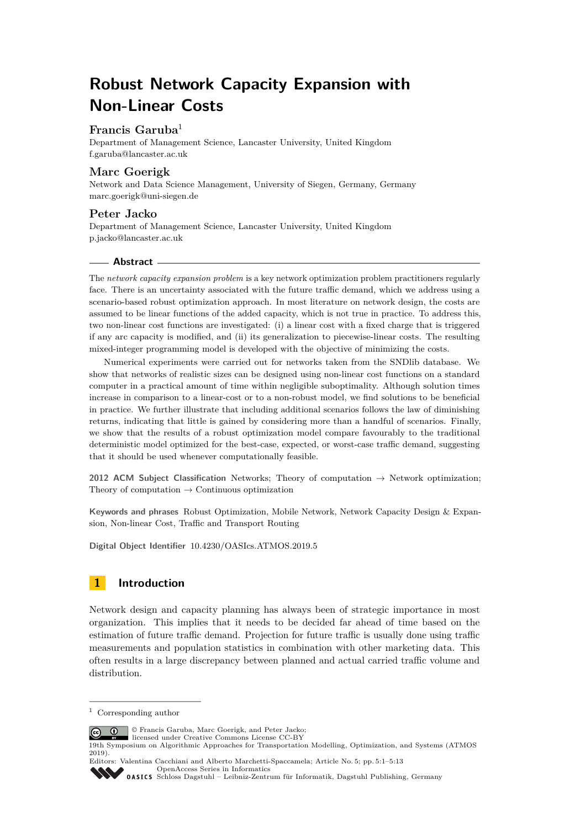# **Robust Network Capacity Expansion with Non-Linear Costs**

# **Francis Garuba**<sup>1</sup>

Department of Management Science, Lancaster University, United Kingdom [f.garuba@lancaster.ac.uk](mailto:f.garuba@lancaster.ac.uk)

# **Marc Goerigk**

Network and Data Science Management, University of Siegen, Germany, Germany [marc.goerigk@uni-siegen.de](mailto:marc.goerigk@uni-siegen.de)

# **Peter Jacko**

Department of Management Science, Lancaster University, United Kingdom [p.jacko@lancaster.ac.uk](mailto:p.jacko@lancaster.ac.uk)

### **Abstract**

The *network capacity expansion problem* is a key network optimization problem practitioners regularly face. There is an uncertainty associated with the future traffic demand, which we address using a scenario-based robust optimization approach. In most literature on network design, the costs are assumed to be linear functions of the added capacity, which is not true in practice. To address this, two non-linear cost functions are investigated: (i) a linear cost with a fixed charge that is triggered if any arc capacity is modified, and (ii) its generalization to piecewise-linear costs. The resulting mixed-integer programming model is developed with the objective of minimizing the costs.

Numerical experiments were carried out for networks taken from the SNDlib database. We show that networks of realistic sizes can be designed using non-linear cost functions on a standard computer in a practical amount of time within negligible suboptimality. Although solution times increase in comparison to a linear-cost or to a non-robust model, we find solutions to be beneficial in practice. We further illustrate that including additional scenarios follows the law of diminishing returns, indicating that little is gained by considering more than a handful of scenarios. Finally, we show that the results of a robust optimization model compare favourably to the traditional deterministic model optimized for the best-case, expected, or worst-case traffic demand, suggesting that it should be used whenever computationally feasible.

**2012 ACM Subject Classification** Networks; Theory of computation → Network optimization; Theory of computation  $\rightarrow$  Continuous optimization

**Keywords and phrases** Robust Optimization, Mobile Network, Network Capacity Design & Expansion, Non-linear Cost, Traffic and Transport Routing

**Digital Object Identifier** [10.4230/OASIcs.ATMOS.2019.5](https://doi.org/10.4230/OASIcs.ATMOS.2019.5)

# **1 Introduction**

Network design and capacity planning has always been of strategic importance in most organization. This implies that it needs to be decided far ahead of time based on the estimation of future traffic demand. Projection for future traffic is usually done using traffic measurements and population statistics in combination with other marketing data. This often results in a large discrepancy between planned and actual carried traffic volume and distribution.

© Francis Garuba, Marc Goerigk, and Peter Jacko; licensed under Creative Commons License CC-BY

Editors: Valentina Cacchiani and Alberto Marchetti-Spaccamela; Article No. 5; pp. 5:1–5[:13](#page-12-0) [OpenAccess Series in Informatics](https://www.dagstuhl.de/oasics/)

[Schloss Dagstuhl – Leibniz-Zentrum für Informatik, Dagstuhl Publishing, Germany](https://www.dagstuhl.de)

<sup>1</sup> Corresponding author

<sup>19</sup>th Symposium on Algorithmic Approaches for Transportation Modelling, Optimization, and Systems (ATMOS 2019).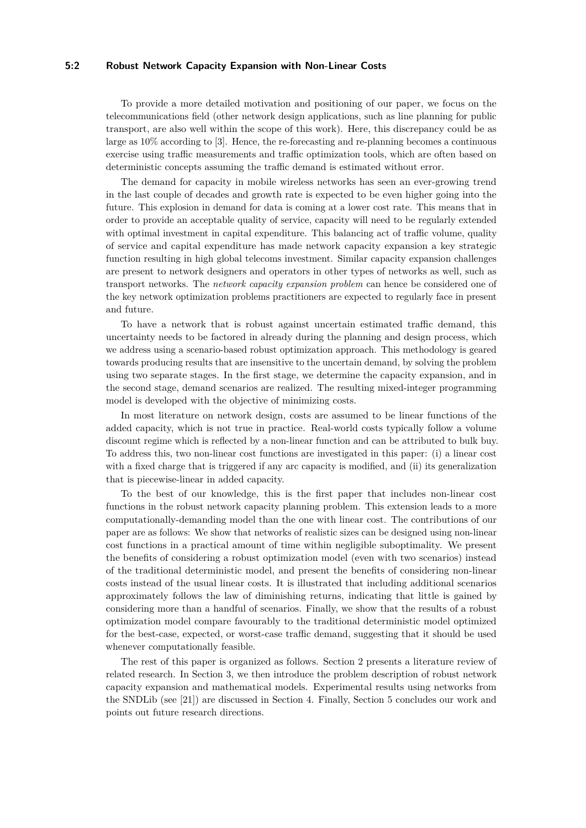### **5:2 Robust Network Capacity Expansion with Non-Linear Costs**

To provide a more detailed motivation and positioning of our paper, we focus on the telecommunications field (other network design applications, such as line planning for public transport, are also well within the scope of this work). Here, this discrepancy could be as large as 10% according to [\[3\]](#page-11-0). Hence, the re-forecasting and re-planning becomes a continuous exercise using traffic measurements and traffic optimization tools, which are often based on deterministic concepts assuming the traffic demand is estimated without error.

The demand for capacity in mobile wireless networks has seen an ever-growing trend in the last couple of decades and growth rate is expected to be even higher going into the future. This explosion in demand for data is coming at a lower cost rate. This means that in order to provide an acceptable quality of service, capacity will need to be regularly extended with optimal investment in capital expenditure. This balancing act of traffic volume, quality of service and capital expenditure has made network capacity expansion a key strategic function resulting in high global telecoms investment. Similar capacity expansion challenges are present to network designers and operators in other types of networks as well, such as transport networks. The *network capacity expansion problem* can hence be considered one of the key network optimization problems practitioners are expected to regularly face in present and future.

To have a network that is robust against uncertain estimated traffic demand, this uncertainty needs to be factored in already during the planning and design process, which we address using a scenario-based robust optimization approach. This methodology is geared towards producing results that are insensitive to the uncertain demand, by solving the problem using two separate stages. In the first stage, we determine the capacity expansion, and in the second stage, demand scenarios are realized. The resulting mixed-integer programming model is developed with the objective of minimizing costs.

In most literature on network design, costs are assumed to be linear functions of the added capacity, which is not true in practice. Real-world costs typically follow a volume discount regime which is reflected by a non-linear function and can be attributed to bulk buy. To address this, two non-linear cost functions are investigated in this paper: (i) a linear cost with a fixed charge that is triggered if any arc capacity is modified, and (ii) its generalization that is piecewise-linear in added capacity.

To the best of our knowledge, this is the first paper that includes non-linear cost functions in the robust network capacity planning problem. This extension leads to a more computationally-demanding model than the one with linear cost. The contributions of our paper are as follows: We show that networks of realistic sizes can be designed using non-linear cost functions in a practical amount of time within negligible suboptimality. We present the benefits of considering a robust optimization model (even with two scenarios) instead of the traditional deterministic model, and present the benefits of considering non-linear costs instead of the usual linear costs. It is illustrated that including additional scenarios approximately follows the law of diminishing returns, indicating that little is gained by considering more than a handful of scenarios. Finally, we show that the results of a robust optimization model compare favourably to the traditional deterministic model optimized for the best-case, expected, or worst-case traffic demand, suggesting that it should be used whenever computationally feasible.

The rest of this paper is organized as follows. [Section 2](#page-2-0) presents a literature review of related research. In [Section 3,](#page-3-0) we then introduce the problem description of robust network capacity expansion and mathematical models. Experimental results using networks from the SNDLib (see [\[21\]](#page-11-1)) are discussed in [Section 4.](#page-5-0) Finally, [Section 5](#page-10-0) concludes our work and points out future research directions.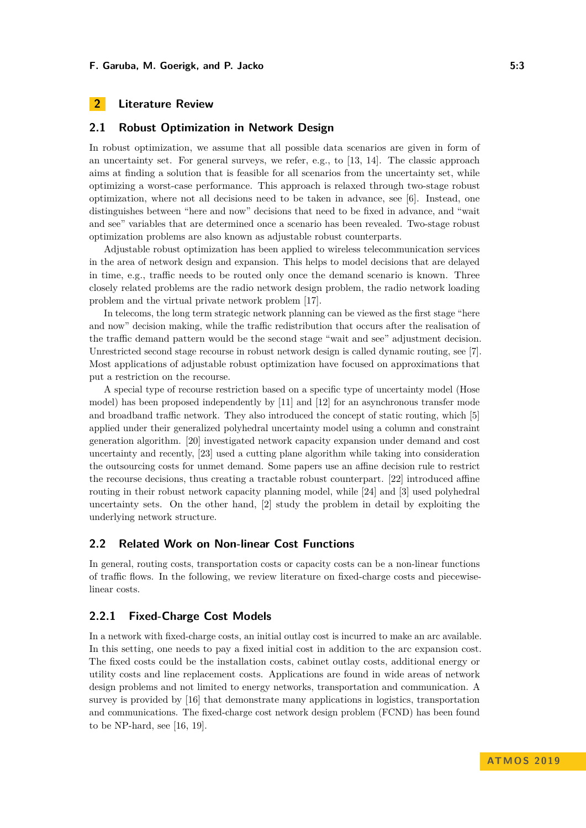# <span id="page-2-0"></span>**2 Literature Review**

### **2.1 Robust Optimization in Network Design**

In robust optimization, we assume that all possible data scenarios are given in form of an uncertainty set. For general surveys, we refer, e.g., to [\[13,](#page-11-2) [14\]](#page-11-3). The classic approach aims at finding a solution that is feasible for all scenarios from the uncertainty set, while optimizing a worst-case performance. This approach is relaxed through two-stage robust optimization, where not all decisions need to be taken in advance, see [\[6\]](#page-11-4). Instead, one distinguishes between "here and now" decisions that need to be fixed in advance, and "wait and see" variables that are determined once a scenario has been revealed. Two-stage robust optimization problems are also known as adjustable robust counterparts.

Adjustable robust optimization has been applied to wireless telecommunication services in the area of network design and expansion. This helps to model decisions that are delayed in time, e.g., traffic needs to be routed only once the demand scenario is known. Three closely related problems are the radio network design problem, the radio network loading problem and the virtual private network problem [\[17\]](#page-11-5).

In telecoms, the long term strategic network planning can be viewed as the first stage "here and now" decision making, while the traffic redistribution that occurs after the realisation of the traffic demand pattern would be the second stage "wait and see" adjustment decision. Unrestricted second stage recourse in robust network design is called dynamic routing, see [\[7\]](#page-11-6). Most applications of adjustable robust optimization have focused on approximations that put a restriction on the recourse.

A special type of recourse restriction based on a specific type of uncertainty model (Hose model) has been proposed independently by [\[11\]](#page-11-7) and [\[12\]](#page-11-8) for an asynchronous transfer mode and broadband traffic network. They also introduced the concept of static routing, which [\[5\]](#page-11-9) applied under their generalized polyhedral uncertainty model using a column and constraint generation algorithm. [\[20\]](#page-11-10) investigated network capacity expansion under demand and cost uncertainty and recently, [\[23\]](#page-12-1) used a cutting plane algorithm while taking into consideration the outsourcing costs for unmet demand. Some papers use an affine decision rule to restrict the recourse decisions, thus creating a tractable robust counterpart. [\[22\]](#page-11-11) introduced affine routing in their robust network capacity planning model, while [\[24\]](#page-12-2) and [\[3\]](#page-11-0) used polyhedral uncertainty sets. On the other hand, [\[2\]](#page-11-12) study the problem in detail by exploiting the underlying network structure.

# **2.2 Related Work on Non-linear Cost Functions**

In general, routing costs, transportation costs or capacity costs can be a non-linear functions of traffic flows. In the following, we review literature on fixed-charge costs and piecewiselinear costs.

### **2.2.1 Fixed-Charge Cost Models**

In a network with fixed-charge costs, an initial outlay cost is incurred to make an arc available. In this setting, one needs to pay a fixed initial cost in addition to the arc expansion cost. The fixed costs could be the installation costs, cabinet outlay costs, additional energy or utility costs and line replacement costs. Applications are found in wide areas of network design problems and not limited to energy networks, transportation and communication. A survey is provided by [\[16\]](#page-11-13) that demonstrate many applications in logistics, transportation and communications. The fixed-charge cost network design problem (FCND) has been found to be NP-hard, see [\[16,](#page-11-13) [19\]](#page-11-14).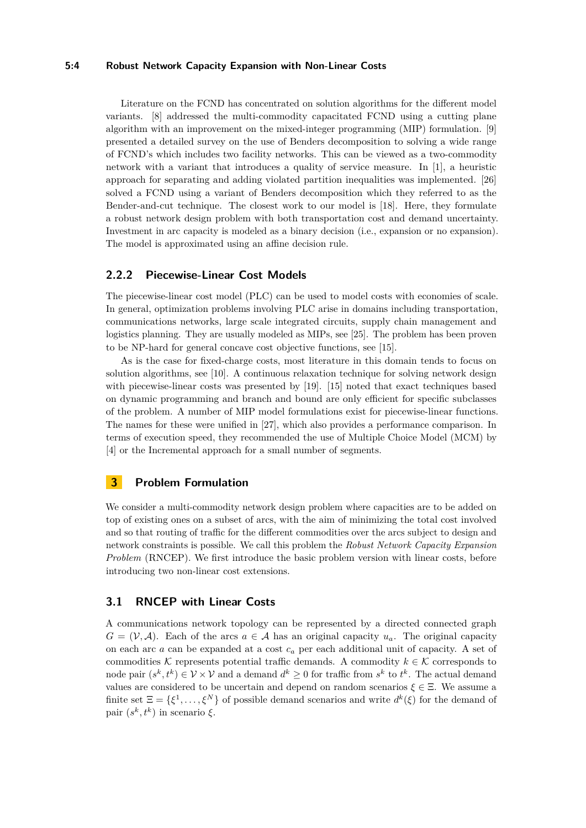#### **5:4 Robust Network Capacity Expansion with Non-Linear Costs**

Literature on the FCND has concentrated on solution algorithms for the different model variants. [\[8\]](#page-11-15) addressed the multi-commodity capacitated FCND using a cutting plane algorithm with an improvement on the mixed-integer programming (MIP) formulation. [\[9\]](#page-11-16) presented a detailed survey on the use of Benders decomposition to solving a wide range of FCND's which includes two facility networks. This can be viewed as a two-commodity network with a variant that introduces a quality of service measure. In [\[1\]](#page-11-17), a heuristic approach for separating and adding violated partition inequalities was implemented. [\[26\]](#page-12-3) solved a FCND using a variant of Benders decomposition which they referred to as the Bender-and-cut technique. The closest work to our model is [\[18\]](#page-11-18). Here, they formulate a robust network design problem with both transportation cost and demand uncertainty. Investment in arc capacity is modeled as a binary decision (i.e., expansion or no expansion). The model is approximated using an affine decision rule.

# **2.2.2 Piecewise-Linear Cost Models**

The piecewise-linear cost model (PLC) can be used to model costs with economies of scale. In general, optimization problems involving PLC arise in domains including transportation, communications networks, large scale integrated circuits, supply chain management and logistics planning. They are usually modeled as MIPs, see [\[25\]](#page-12-4). The problem has been proven to be NP-hard for general concave cost objective functions, see [\[15\]](#page-11-19).

As is the case for fixed-charge costs, most literature in this domain tends to focus on solution algorithms, see [\[10\]](#page-11-20). A continuous relaxation technique for solving network design with piecewise-linear costs was presented by [\[19\]](#page-11-14). [\[15\]](#page-11-19) noted that exact techniques based on dynamic programming and branch and bound are only efficient for specific subclasses of the problem. A number of MIP model formulations exist for piecewise-linear functions. The names for these were unified in [\[27\]](#page-12-5), which also provides a performance comparison. In terms of execution speed, they recommended the use of Multiple Choice Model (MCM) by [\[4\]](#page-11-21) or the Incremental approach for a small number of segments.

# <span id="page-3-0"></span>**3 Problem Formulation**

We consider a multi-commodity network design problem where capacities are to be added on top of existing ones on a subset of arcs, with the aim of minimizing the total cost involved and so that routing of traffic for the different commodities over the arcs subject to design and network constraints is possible. We call this problem the *Robust Network Capacity Expansion Problem* (RNCEP). We first introduce the basic problem version with linear costs, before introducing two non-linear cost extensions.

# **3.1 RNCEP with Linear Costs**

A communications network topology can be represented by a directed connected graph  $G = (\mathcal{V}, \mathcal{A})$ . Each of the arcs  $a \in \mathcal{A}$  has an original capacity  $u_a$ . The original capacity on each arc *a* can be expanded at a cost *c<sup>a</sup>* per each additional unit of capacity. A set of commodities K represents potential traffic demands. A commodity  $k \in \mathcal{K}$  corresponds to node pair  $(s^k, t^k) \in V \times V$  and a demand  $d^k \geq 0$  for traffic from  $s^k$  to  $t^k$ . The actual demand values are considered to be uncertain and depend on random scenarios  $\xi \in \Xi$ . We assume a finite set  $\Xi = \{\xi^1, \ldots, \xi^N\}$  of possible demand scenarios and write  $d^k(\xi)$  for the demand of pair  $(s^k, t^k)$  in scenario  $\xi$ .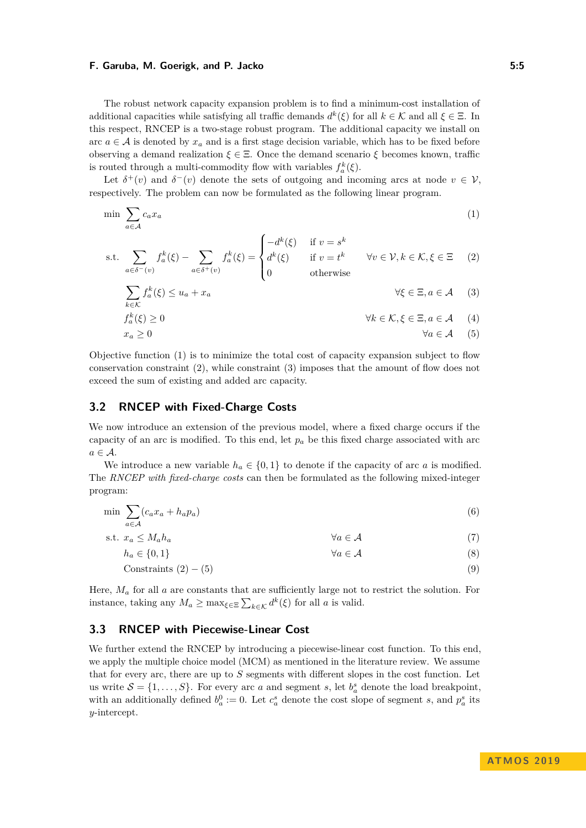The robust network capacity expansion problem is to find a minimum-cost installation of additional capacities while satisfying all traffic demands  $d^k(\xi)$  for all  $k \in \mathcal{K}$  and all  $\xi \in \Xi$ . In this respect, RNCEP is a two-stage robust program. The additional capacity we install on arc  $a \in A$  is denoted by  $x_a$  and is a first stage decision variable, which has to be fixed before observing a demand realization  $\xi \in \Xi$ . Once the demand scenario  $\xi$  becomes known, traffic is routed through a multi-commodity flow with variables  $f_a^k(\xi)$ .

Let  $\delta^+(v)$  and  $\delta^-(v)$  denote the sets of outgoing and incoming arcs at node  $v \in V$ , respectively. The problem can now be formulated as the following linear program.

$$
\min \sum_{a \in \mathcal{A}} c_a x_a \tag{1}
$$

s.t. 
$$
\sum_{a \in \delta^-(v)} f_a^k(\xi) - \sum_{a \in \delta^+(v)} f_a^k(\xi) = \begin{cases} -d^k(\xi) & \text{if } v = s^k \\ d^k(\xi) & \text{if } v = t^k \\ 0 & \text{otherwise} \end{cases} \quad \forall v \in \mathcal{V}, k \in \mathcal{K}, \xi \in \Xi \quad (2)
$$

<span id="page-4-1"></span><span id="page-4-0"></span>
$$
\sum_{k \in \mathcal{K}} f_a^k(\xi) \le u_a + x_a \qquad \forall \xi \in \Xi, a \in \mathcal{A} \tag{3}
$$
\n
$$
f^k(\xi) > 0 \qquad \forall k \in \mathcal{K}, \xi \in \Xi, a \in \mathcal{A} \tag{4}
$$

<span id="page-4-3"></span><span id="page-4-2"></span>
$$
f_a^k(\xi) \ge 0 \qquad \qquad \forall k \in \mathcal{K}, \xi \in \Xi, a \in \mathcal{A} \qquad (4)
$$

$$
x_a \ge 0 \qquad \qquad \forall a \in \mathcal{A} \qquad (5)
$$

Objective function [\(1\)](#page-4-0) is to minimize the total cost of capacity expansion subject to flow conservation constraint [\(2\)](#page-4-1), while constraint [\(3\)](#page-4-2) imposes that the amount of flow does not exceed the sum of existing and added arc capacity.

# **3.2 RNCEP with Fixed-Charge Costs**

We now introduce an extension of the previous model, where a fixed charge occurs if the capacity of an arc is modified. To this end, let  $p_a$  be this fixed charge associated with arc  $a \in \mathcal{A}$ .

We introduce a new variable  $h_a \in \{0,1\}$  to denote if the capacity of arc *a* is modified. The *RNCEP with fixed-charge costs* can then be formulated as the following mixed-integer program:

$$
\min \sum_{a \in \mathcal{A}} (c_a x_a + h_a p_a) \tag{6}
$$

$$
\text{s.t. } x_a \le M_a h_a \qquad \qquad \forall a \in \mathcal{A} \tag{7}
$$

$$
h_a \in \{0, 1\} \qquad \qquad \forall a \in \mathcal{A} \tag{8}
$$

$$
Constraints (2) - (5) \tag{9}
$$

Here,  $M_a$  for all *a* are constants that are sufficiently large not to restrict the solution. For instance, taking any  $M_a \ge \max_{\xi \in \Xi} \sum_{k \in \mathcal{K}} d^k(\xi)$  for all *a* is valid.

# **3.3 RNCEP with Piecewise-Linear Cost**

We further extend the RNCEP by introducing a piecewise-linear cost function. To this end, we apply the multiple choice model (MCM) as mentioned in the literature review. We assume that for every arc, there are up to *S* segments with different slopes in the cost function. Let us write  $S = \{1, \ldots, S\}$ . For every arc *a* and segment *s*, let  $b_a^s$  denote the load breakpoint, with an additionally defined  $b_a^0 := 0$ . Let  $c_a^s$  denote the cost slope of segment *s*, and  $p_a^s$  its *y*-intercept.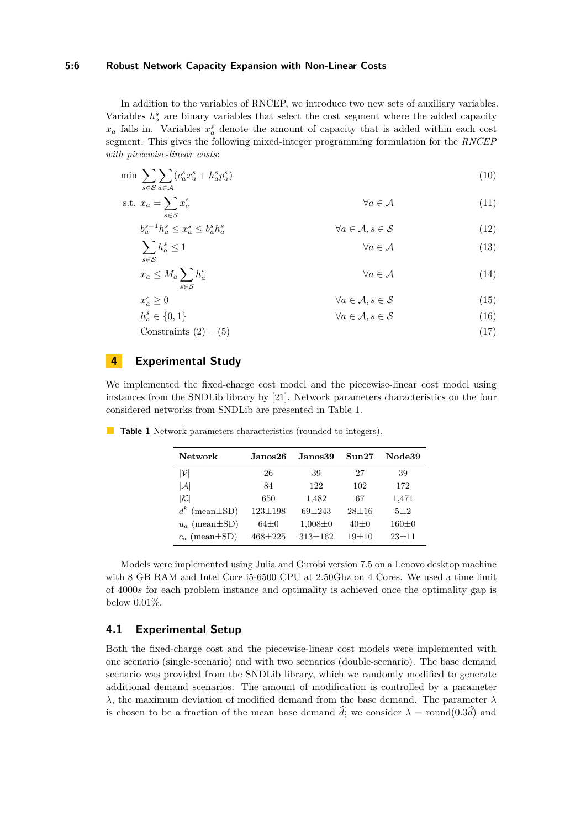#### **5:6 Robust Network Capacity Expansion with Non-Linear Costs**

In addition to the variables of RNCEP, we introduce two new sets of auxiliary variables. Variables  $h_a^s$  are binary variables that select the cost segment where the added capacity  $x_a$  falls in. Variables  $x_a^s$  denote the amount of capacity that is added within each cost segment. This gives the following mixed-integer programming formulation for the *RNCEP with piecewise-linear costs*:

$$
\min \sum_{s \in \mathcal{S}} \sum_{a \in \mathcal{A}} (c_a^s x_a^s + h_a^s p_a^s) \tag{10}
$$

$$
\text{s.t. } x_a = \sum_{s \in \mathcal{S}} x_a^s \qquad \qquad \forall a \in \mathcal{A} \tag{11}
$$

$$
b_a^{s-1}h_a^s \le x_a^s \le b_a^s h_a^s \qquad \forall a \in \mathcal{A}, s \in \mathcal{S} \qquad (12)
$$
  

$$
\sum h_a^s \le 1 \qquad \forall a \in \mathcal{A} \qquad (13)
$$

$$
\sum_{s \in S} h_a^s \le 1 \qquad \forall a \in \mathcal{A} \tag{13}
$$
\n
$$
x_a \le M_a \sum h_a^s \qquad \forall a \in \mathcal{A} \tag{14}
$$

$$
x_a^s \ge 0 \qquad \qquad \forall a \in \mathcal{A}, s \in \mathcal{S} \tag{15}
$$

$$
b_a^s \in \{0, 1\} \qquad \qquad \forall a \in \mathcal{A}, s \in \mathcal{S} \tag{16}
$$

 $Constraints (2) - (5)$  $Constraints (2) - (5)$  $Constraints (2) - (5)$  $Constraints (2) - (5)$  (17)

# <span id="page-5-0"></span>**4 Experimental Study**

We implemented the fixed-charge cost model and the piecewise-linear cost model using instances from the SNDLib library by [\[21\]](#page-11-1). Network parameters characteristics on the four considered networks from SNDLib are presented in [Table 1.](#page-5-1)

| Network                  | Janos26.      | Janos39.      | S <sub>11</sub> n <sub>27</sub> | Node39    |
|--------------------------|---------------|---------------|---------------------------------|-----------|
| $ \mathcal{V} $          | 26            | 39            | 27                              | 39        |
| $ \mathcal{A} $          | 84            | 122           | 102                             | 172       |
| $ \mathcal{K} $          | 650           | 1,482         | 67                              | 1,471     |
| $d^k$<br>$(mean \pm SD)$ | $123 \pm 198$ | $69 + 243$    | $28 + 16$                       | $5 + 2$   |
| $u_a$ (mean $\pm$ SD)    | $64+0$        | $1,008 \pm 0$ | $40 + 0$                        | $160+0$   |
| $c_a$ (mean $\pm$ SD)    | $468 + 225$   | $313 + 162$   | $19+10$                         | $23 + 11$ |

<span id="page-5-1"></span>**Table 1** Network parameters characteristics (rounded to integers).

Models were implemented using Julia and Gurobi version 7.5 on a Lenovo desktop machine with 8 GB RAM and Intel Core i5-6500 CPU at 2.50Ghz on 4 Cores. We used a time limit of 4000*s* for each problem instance and optimality is achieved once the optimality gap is below 0*.*01%.

# **4.1 Experimental Setup**

Both the fixed-charge cost and the piecewise-linear cost models were implemented with one scenario (single-scenario) and with two scenarios (double-scenario). The base demand scenario was provided from the SNDLib library, which we randomly modified to generate additional demand scenarios. The amount of modification is controlled by a parameter *λ*, the maximum deviation of modified demand from the base demand. The parameter *λ* is chosen to be a fraction of the mean base demand  $\hat{d}$ ; we consider  $\lambda = \text{round}(0.3\hat{d})$  and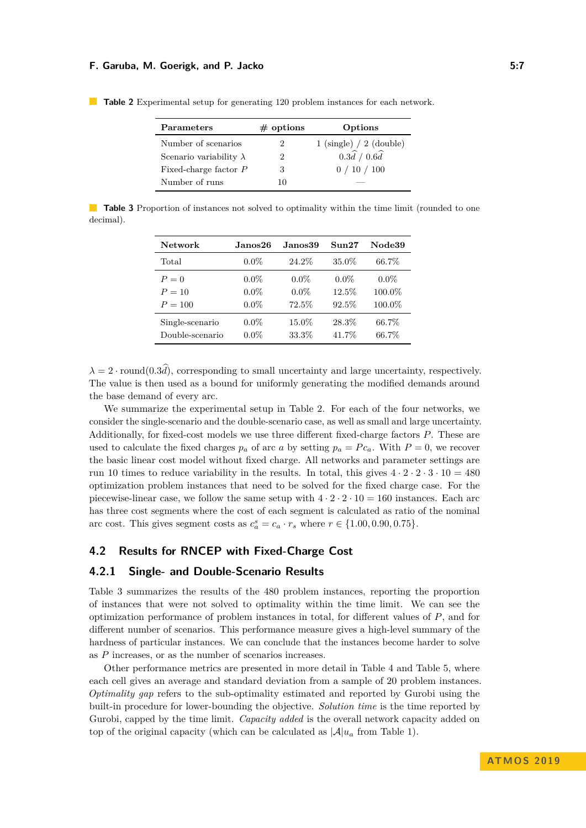| <b>Parameters</b>              | $\#$ options | Options                                   |
|--------------------------------|--------------|-------------------------------------------|
| Number of scenarios            |              | $1 \text{ (single)} / 2 \text{ (double)}$ |
| Scenario variability $\lambda$ |              | $0.3\hat{d}$ / $0.6\hat{d}$               |
| Fixed-charge factor P          | 3            | 0/10/100                                  |
| Number of runs                 |              |                                           |

<span id="page-6-0"></span>**Table 2** Experimental setup for generating 120 problem instances for each network.

<span id="page-6-1"></span>**Table 3** Proportion of instances not solved to optimality within the time limit (rounded to one decimal).

| <b>Network</b>  | Janos26 | Janos39 | Sun27    | Node39  |
|-----------------|---------|---------|----------|---------|
| Total           | $0.0\%$ | 24.2%   | 35.0%    | 66.7%   |
| $P=0$           | $0.0\%$ | $0.0\%$ | $0.0\%$  | $0.0\%$ |
| $P=10$          | $0.0\%$ | $0.0\%$ | 12.5%    | 100.0%  |
| $P = 100$       | $0.0\%$ | 72.5%   | $92.5\%$ | 100.0%  |
| Single-scenario | $0.0\%$ | 15.0%   | 28.3%    | 66.7%   |
| Double-scenario | $0.0\%$ | 33.3%   | 41.7%    | 66.7%   |

 $\lambda = 2 \cdot \text{round}(0.3\hat{d})$ , corresponding to small uncertainty and large uncertainty, respectively. The value is then used as a bound for uniformly generating the modified demands around the base demand of every arc.

We summarize the experimental setup in [Table 2.](#page-6-0) For each of the four networks, we consider the single-scenario and the double-scenario case, as well as small and large uncertainty. Additionally, for fixed-cost models we use three different fixed-charge factors *P*. These are used to calculate the fixed charges  $p_a$  of arc *a* by setting  $p_a = Pc_a$ . With  $P = 0$ , we recover the basic linear cost model without fixed charge. All networks and parameter settings are run 10 times to reduce variability in the results. In total, this gives  $4 \cdot 2 \cdot 2 \cdot 3 \cdot 10 = 480$ optimization problem instances that need to be solved for the fixed charge case. For the piecewise-linear case, we follow the same setup with  $4 \cdot 2 \cdot 2 \cdot 10 = 160$  instances. Each arc has three cost segments where the cost of each segment is calculated as ratio of the nominal arc cost. This gives segment costs as  $c_a^s = c_a \cdot r_s$  where  $r \in \{1.00, 0.90, 0.75\}.$ 

# **4.2 Results for RNCEP with Fixed-Charge Cost**

### **4.2.1 Single- and Double-Scenario Results**

[Table 3](#page-6-1) summarizes the results of the 480 problem instances, reporting the proportion of instances that were not solved to optimality within the time limit. We can see the optimization performance of problem instances in total, for different values of *P*, and for different number of scenarios. This performance measure gives a high-level summary of the hardness of particular instances. We can conclude that the instances become harder to solve as *P* increases, or as the number of scenarios increases.

Other performance metrics are presented in more detail in [Table 4](#page-7-0) and [Table 5,](#page-7-1) where each cell gives an average and standard deviation from a sample of 20 problem instances. *Optimality gap* refers to the sub-optimality estimated and reported by Gurobi using the built-in procedure for lower-bounding the objective. *Solution time* is the time reported by Gurobi, capped by the time limit. *Capacity added* is the overall network capacity added on top of the original capacity (which can be calculated as  $|\mathcal{A}|u_a$  from [Table 1\)](#page-5-1).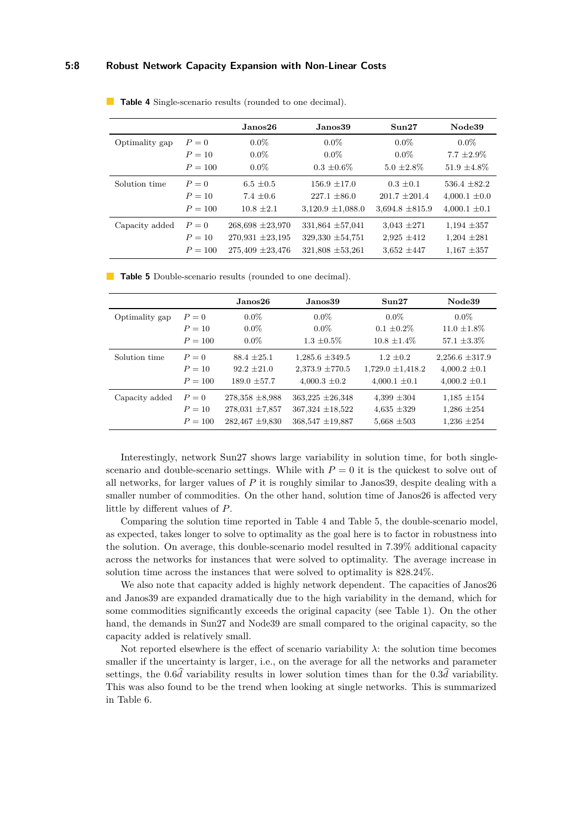### **5:8 Robust Network Capacity Expansion with Non-Linear Costs**

|                |           | Janos26              | Janos39               | Sun27               | Node39            |
|----------------|-----------|----------------------|-----------------------|---------------------|-------------------|
| Optimality gap | $P=0$     | $0.0\%$              | $0.0\%$               | $0.0\%$             | $0.0\%$           |
|                | $P = 10$  | $0.0\%$              | $0.0\%$               | $0.0\%$             | $7.7 \pm 2.9\%$   |
|                | $P = 100$ | $0.0\%$              | $0.3 \pm 0.6\%$       | $5.0 \pm 2.8\%$     | $51.9 \pm 4.8\%$  |
| Solution time  | $P=0$     | $6.5 \pm 0.5$        | $156.9 \pm 17.0$      | $0.3 \pm 0.1$       | $536.4 \pm 82.2$  |
|                | $P = 10$  | $7.4 + 0.6$          | $227.1 \pm 86.0$      | $201.7 \pm 201.4$   | $4,000.1 \pm 0.0$ |
|                | $P = 100$ | $10.8 \pm 2.1$       | $3,120.9 \pm 1,088.0$ | $3,694.8 \pm 815.9$ | $4,000.1 \pm 0.1$ |
| Capacity added | $P=0$     | $268,698 \pm 23,970$ | $331,864 \pm 57,041$  | $3,043 \pm 271$     | $1,194 \pm 357$   |
|                | $P = 10$  | $270,931 \pm 23,195$ | 329,330 $\pm$ 54,751  | $2,925 \pm 412$     | $1,204 \pm 281$   |
|                | $P = 100$ | $275,409 \pm 23,476$ | $321,808 \pm 53,261$  | $3,652 \pm 447$     | $1,167 \pm 357$   |

<span id="page-7-0"></span>**Table 4** Single-scenario results (rounded to one decimal).

<span id="page-7-1"></span>**Table 5** Double-scenario results (rounded to one decimal).

|                |           | Janos26             | Janos39              | Sun27                 | Node39              |
|----------------|-----------|---------------------|----------------------|-----------------------|---------------------|
| Optimality gap | $P=0$     | $0.0\%$             | $0.0\%$              | $0.0\%$               | $0.0\%$             |
|                | $P = 10$  | $0.0\%$             | $0.0\%$              | $0.1 \pm 0.2\%$       | $11.0 \pm 1.8\%$    |
|                | $P = 100$ | $0.0\%$             | $1.3 \pm 0.5\%$      | $10.8 \pm 1.4\%$      | 57.1 $\pm 3.3\%$    |
| Solution time  | $P=0$     | $88.4 \pm 25.1$     | $1,285.6 \pm 349.5$  | $1.2 \pm 0.2$         | $2,256.6 \pm 317.9$ |
|                | $P = 10$  | $92.2 \pm 21.0$     | $2,373.9 \pm 770.5$  | $1,729.0 \pm 1,418.2$ | $4,000.2 \pm 0.1$   |
|                | $P = 100$ | $189.0 \pm 57.7$    | $4,000.3 \pm 0.2$    | $4,000.1 \pm 0.1$     | $4,000.2 \pm 0.1$   |
| Capacity added | $P=0$     | $278.358 \pm 8.988$ | $363,225 \pm 26,348$ | $4,399 \pm 304$       | $1,185 \pm 154$     |
|                | $P=10$    | $278,031 \pm 7,857$ | $367,324 \pm 18,522$ | $4.635 \pm 329$       | $1,286 \pm 254$     |
|                | $P = 100$ | $282,467 \pm 9,830$ | $368,547 \pm 19,887$ | $5.668 \pm 503$       | $1,236 \pm 254$     |

Interestingly, network Sun27 shows large variability in solution time, for both singlescenario and double-scenario settings. While with  $P = 0$  it is the quickest to solve out of all networks, for larger values of *P* it is roughly similar to Janos39, despite dealing with a smaller number of commodities. On the other hand, solution time of Janos26 is affected very little by different values of *P*.

Comparing the solution time reported in [Table 4](#page-7-0) and [Table 5,](#page-7-1) the double-scenario model, as expected, takes longer to solve to optimality as the goal here is to factor in robustness into the solution. On average, this double-scenario model resulted in 7*.*39% additional capacity across the networks for instances that were solved to optimality. The average increase in solution time across the instances that were solved to optimality is 828*.*24%.

We also note that capacity added is highly network dependent. The capacities of Janos26 and Janos39 are expanded dramatically due to the high variability in the demand, which for some commodities significantly exceeds the original capacity (see [Table 1\)](#page-5-1). On the other hand, the demands in Sun27 and Node39 are small compared to the original capacity, so the capacity added is relatively small.

Not reported elsewhere is the effect of scenario variability  $\lambda$ : the solution time becomes smaller if the uncertainty is larger, i.e., on the average for all the networks and parameter settings, the 0.6 $\hat{d}$  variability results in lower solution times than for the 0.3 $\hat{d}$  variability. This was also found to be the trend when looking at single networks. This is summarized in [Table 6.](#page-8-0)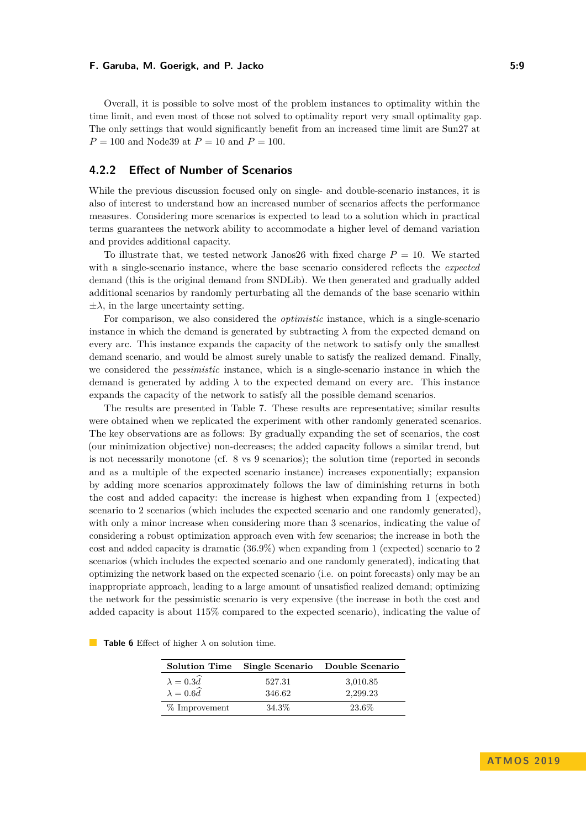Overall, it is possible to solve most of the problem instances to optimality within the time limit, and even most of those not solved to optimality report very small optimality gap. The only settings that would significantly benefit from an increased time limit are Sun27 at *P* = 100 and Node39 at *P* = 10 and *P* = 100.

# **4.2.2 Effect of Number of Scenarios**

While the previous discussion focused only on single- and double-scenario instances, it is also of interest to understand how an increased number of scenarios affects the performance measures. Considering more scenarios is expected to lead to a solution which in practical terms guarantees the network ability to accommodate a higher level of demand variation and provides additional capacity.

To illustrate that, we tested network Janos26 with fixed charge  $P = 10$ . We started with a single-scenario instance, where the base scenario considered reflects the *expected* demand (this is the original demand from SNDLib). We then generated and gradually added additional scenarios by randomly perturbating all the demands of the base scenario within  $\pm \lambda$ , in the large uncertainty setting.

For comparison, we also considered the *optimistic* instance, which is a single-scenario instance in which the demand is generated by subtracting  $\lambda$  from the expected demand on every arc. This instance expands the capacity of the network to satisfy only the smallest demand scenario, and would be almost surely unable to satisfy the realized demand. Finally, we considered the *pessimistic* instance, which is a single-scenario instance in which the demand is generated by adding  $\lambda$  to the expected demand on every arc. This instance expands the capacity of the network to satisfy all the possible demand scenarios.

The results are presented in [Table 7.](#page-9-0) These results are representative; similar results were obtained when we replicated the experiment with other randomly generated scenarios. The key observations are as follows: By gradually expanding the set of scenarios, the cost (our minimization objective) non-decreases; the added capacity follows a similar trend, but is not necessarily monotone (cf. 8 vs 9 scenarios); the solution time (reported in seconds and as a multiple of the expected scenario instance) increases exponentially; expansion by adding more scenarios approximately follows the law of diminishing returns in both the cost and added capacity: the increase is highest when expanding from 1 (expected) scenario to 2 scenarios (which includes the expected scenario and one randomly generated), with only a minor increase when considering more than 3 scenarios, indicating the value of considering a robust optimization approach even with few scenarios; the increase in both the cost and added capacity is dramatic (36*.*9%) when expanding from 1 (expected) scenario to 2 scenarios (which includes the expected scenario and one randomly generated), indicating that optimizing the network based on the expected scenario (i.e. on point forecasts) only may be an inappropriate approach, leading to a large amount of unsatisfied realized demand; optimizing the network for the pessimistic scenario is very expensive (the increase in both the cost and added capacity is about 115% compared to the expected scenario), indicating the value of

| <b>Solution Time</b>    |        | Single Scenario Double Scenario |  |
|-------------------------|--------|---------------------------------|--|
| $\lambda = 0.3 \hat{d}$ | 527.31 | 3,010.85                        |  |
| $\lambda = 0.6 \hat{d}$ | 346.62 | 2.299.23                        |  |
| $%$ Improvement         | 34.3%  | 23.6%                           |  |

<span id="page-8-0"></span>

| <b>Table 6</b> Effect of higher $\lambda$ on solution time. |  |
|-------------------------------------------------------------|--|
|-------------------------------------------------------------|--|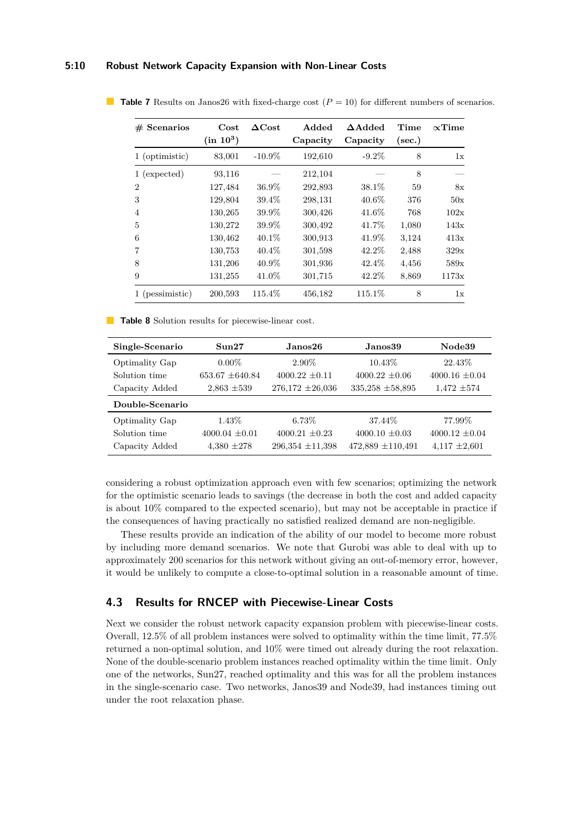### **5:10 Robust Network Capacity Expansion with Non-Linear Costs**

| $#$ Scenarios   | $\mathbf{Cost}$<br>$(in 10^3)$ | $\Delta \text{Cost}$ | Added<br>Capacity | $\Delta$ Added<br>Capacity | Time<br>sec.) | $\propto$ Time |
|-----------------|--------------------------------|----------------------|-------------------|----------------------------|---------------|----------------|
| 1 (optimistic)  | 83,001                         | $-10.9\%$            | 192,610           | $-9.2\%$                   | 8             | 1x             |
| 1 (expected)    | 93,116                         |                      | 212,104           |                            | 8             |                |
| $\overline{2}$  | 127,484                        | $36.9\%$             | 292,893           | 38.1%                      | 59            | 8x             |
| 3               | 129,804                        | 39.4%                | 298,131           | $40.6\%$                   | 376           | 50x            |
| 4               | 130,265                        | 39.9%                | 300,426           | 41.6%                      | 768           | 102x           |
| 5               | 130,272                        | 39.9%                | 300,492           | 41.7%                      | 1,080         | 143x           |
| 6               | 130,462                        | $40.1\%$             | 300,913           | 41.9%                      | 3,124         | 413x           |
| $\overline{7}$  | 130,753                        | $40.4\%$             | 301,598           | 42.2%                      | 2,488         | 329x           |
| 8               | 131,206                        | $40.9\%$             | 301,936           | 42.4\%                     | 4,456         | 589x           |
| 9               | 131,255                        | 41.0%                | 301,715           | 42.2%                      | 8,869         | 1173x          |
| 1 (pessimistic) | 200,593                        | 115.4%               | 456,182           | 115.1%                     | 8             | 1x             |

<span id="page-9-0"></span>■ **Table 7** Results on Janos26 with fixed-charge cost ( $P = 10$ ) for different numbers of scenarios.

<span id="page-9-1"></span>**Table 8** Solution results for piecewise-linear cost.

| Single-Scenario | Sun27               | Janos26.             | Janos39               | Node39             |  |
|-----------------|---------------------|----------------------|-----------------------|--------------------|--|
| Optimality Gap  | $0.00\%$            | 2.90\%               | $10.43\%$             | 22.43\%            |  |
| Solution time   | $653.67 \pm 640.84$ | $4000.22 \pm 0.11$   | $4000.22 + 0.06$      | $4000.16 \pm 0.04$ |  |
| Capacity Added  | $2,863 \pm 539$     | $276,172 \pm 26,036$ | $335,258 \pm 58,895$  | $1.472 \pm 574$    |  |
| Double-Scenario |                     |                      |                       |                    |  |
| Optimality Gap  | $1.43\%$            | $6.73\%$             | 37.44\%               | 77.99%             |  |
| Solution time   | $4000.04 + 0.01$    | $4000.21 \pm 0.23$   | $4000.10 \pm 0.03$    | $4000.12 \pm 0.04$ |  |
| Capacity Added  | $4,380 \pm 278$     | $296,354 \pm 11,398$ | $472,889 \pm 110,491$ | $4,117 \pm 2,601$  |  |

considering a robust optimization approach even with few scenarios; optimizing the network for the optimistic scenario leads to savings (the decrease in both the cost and added capacity is about 10% compared to the expected scenario), but may not be acceptable in practice if the consequences of having practically no satisfied realized demand are non-negligible.

These results provide an indication of the ability of our model to become more robust by including more demand scenarios. We note that Gurobi was able to deal with up to approximately 200 scenarios for this network without giving an out-of-memory error, however, it would be unlikely to compute a close-to-optimal solution in a reasonable amount of time.

# **4.3 Results for RNCEP with Piecewise-Linear Costs**

Next we consider the robust network capacity expansion problem with piecewise-linear costs. Overall, 12*.*5% of all problem instances were solved to optimality within the time limit, 77*.*5% returned a non-optimal solution, and 10% were timed out already during the root relaxation. None of the double-scenario problem instances reached optimality within the time limit. Only one of the networks, Sun27, reached optimality and this was for all the problem instances in the single-scenario case. Two networks, Janos39 and Node39, had instances timing out under the root relaxation phase.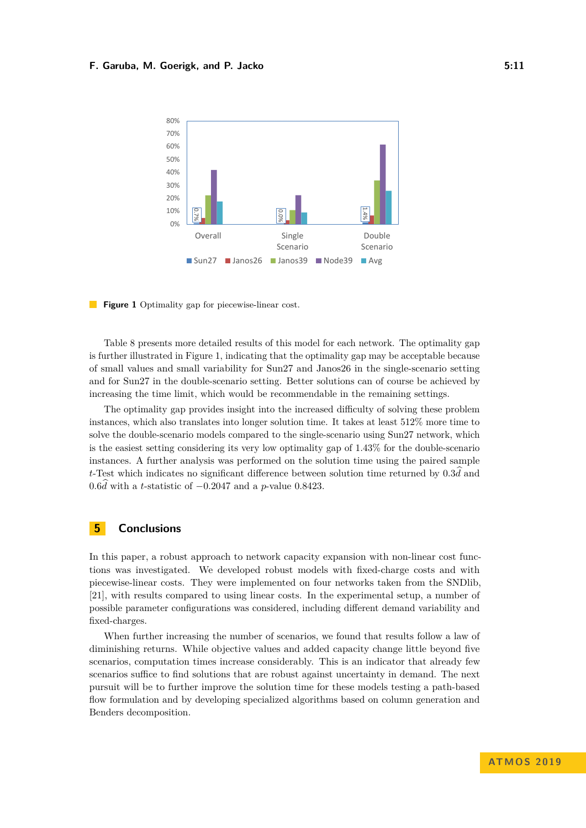<span id="page-10-1"></span>

**Figure 1** Optimality gap for piecewise-linear cost.

[Table 8](#page-9-1) presents more detailed results of this model for each network. The optimality gap is further illustrated in [Figure 1,](#page-10-1) indicating that the optimality gap may be acceptable because of small values and small variability for Sun27 and Janos26 in the single-scenario setting and for Sun27 in the double-scenario setting. Better solutions can of course be achieved by increasing the time limit, which would be recommendable in the remaining settings.

The optimality gap provides insight into the increased difficulty of solving these problem instances, which also translates into longer solution time. It takes at least 512% more time to solve the double-scenario models compared to the single-scenario using Sun27 network, which is the easiest setting considering its very low optimality gap of 1.43% for the double-scenario instances. A further analysis was performed on the solution time using the paired sample *<sup>t</sup>*-Test which indicates no significant difference between solution time returned by <sup>0</sup>*.*3*d*<sup>b</sup> and <sup>0</sup>*.*6*d*<sup>b</sup> with a *<sup>t</sup>*-statistic of <sup>−</sup>0*.*<sup>2047</sup> and a *<sup>p</sup>*-value <sup>0</sup>*.*8423.

# <span id="page-10-0"></span>**5 Conclusions**

In this paper, a robust approach to network capacity expansion with non-linear cost functions was investigated. We developed robust models with fixed-charge costs and with piecewise-linear costs. They were implemented on four networks taken from the SNDlib, [\[21\]](#page-11-1), with results compared to using linear costs. In the experimental setup, a number of possible parameter configurations was considered, including different demand variability and fixed-charges.

When further increasing the number of scenarios, we found that results follow a law of diminishing returns. While objective values and added capacity change little beyond five scenarios, computation times increase considerably. This is an indicator that already few scenarios suffice to find solutions that are robust against uncertainty in demand. The next pursuit will be to further improve the solution time for these models testing a path-based flow formulation and by developing specialized algorithms based on column generation and Benders decomposition.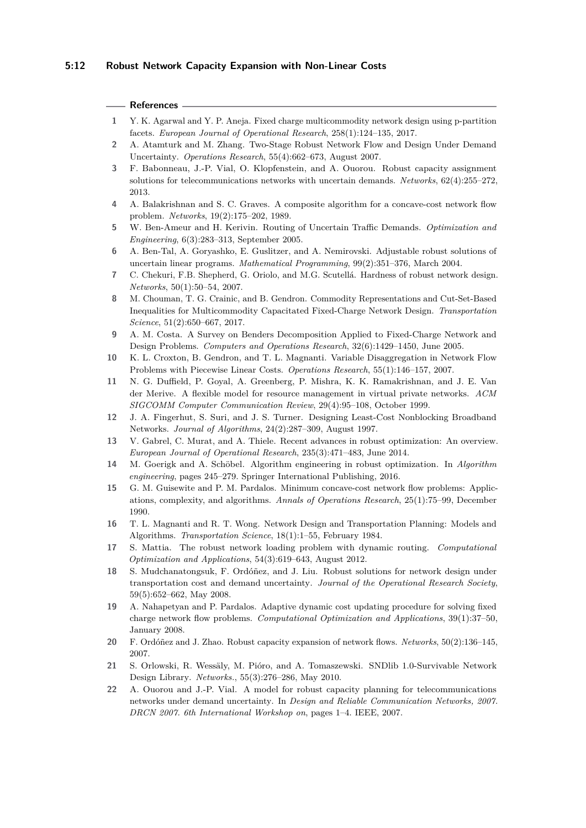#### **References**

- <span id="page-11-17"></span>**1** Y. K. Agarwal and Y. P. Aneja. Fixed charge multicommodity network design using p-partition facets. *European Journal of Operational Research*, 258(1):124–135, 2017.
- <span id="page-11-12"></span>**2** A. Atamturk and M. Zhang. Two-Stage Robust Network Flow and Design Under Demand Uncertainty. *Operations Research*, 55(4):662–673, August 2007.
- <span id="page-11-0"></span>**3** F. Babonneau, J.-P. Vial, O. Klopfenstein, and A. Ouorou. Robust capacity assignment solutions for telecommunications networks with uncertain demands. *Networks*, 62(4):255–272, 2013.
- <span id="page-11-21"></span>**4** A. Balakrishnan and S. C. Graves. A composite algorithm for a concave-cost network flow problem. *Networks*, 19(2):175–202, 1989.
- <span id="page-11-9"></span>**5** W. Ben-Ameur and H. Kerivin. Routing of Uncertain Traffic Demands. *Optimization and Engineering*, 6(3):283–313, September 2005.
- <span id="page-11-4"></span>**6** A. Ben-Tal, A. Goryashko, E. Guslitzer, and A. Nemirovski. Adjustable robust solutions of uncertain linear programs. *Mathematical Programming*, 99(2):351–376, March 2004.
- <span id="page-11-6"></span>**7** C. Chekuri, F.B. Shepherd, G. Oriolo, and M.G. Scutellá. Hardness of robust network design. *Networks*, 50(1):50–54, 2007.
- <span id="page-11-15"></span>**8** M. Chouman, T. G. Crainic, and B. Gendron. Commodity Representations and Cut-Set-Based Inequalities for Multicommodity Capacitated Fixed-Charge Network Design. *Transportation Science*, 51(2):650–667, 2017.
- <span id="page-11-16"></span>**9** A. M. Costa. A Survey on Benders Decomposition Applied to Fixed-Charge Network and Design Problems. *Computers and Operations Research*, 32(6):1429–1450, June 2005.
- <span id="page-11-20"></span>**10** K. L. Croxton, B. Gendron, and T. L. Magnanti. Variable Disaggregation in Network Flow Problems with Piecewise Linear Costs. *Operations Research*, 55(1):146–157, 2007.
- <span id="page-11-7"></span>**11** N. G. Duffield, P. Goyal, A. Greenberg, P. Mishra, K. K. Ramakrishnan, and J. E. Van der Merive. A flexible model for resource management in virtual private networks. *ACM SIGCOMM Computer Communication Review*, 29(4):95–108, October 1999.
- <span id="page-11-8"></span>**12** J. A. Fingerhut, S. Suri, and J. S. Turner. Designing Least-Cost Nonblocking Broadband Networks. *Journal of Algorithms*, 24(2):287–309, August 1997.
- <span id="page-11-2"></span>**13** V. Gabrel, C. Murat, and A. Thiele. Recent advances in robust optimization: An overview. *European Journal of Operational Research*, 235(3):471–483, June 2014.
- <span id="page-11-3"></span>**14** M. Goerigk and A. Schöbel. Algorithm engineering in robust optimization. In *Algorithm engineering*, pages 245–279. Springer International Publishing, 2016.
- <span id="page-11-19"></span>**15** G. M. Guisewite and P. M. Pardalos. Minimum concave-cost network flow problems: Applications, complexity, and algorithms. *Annals of Operations Research*, 25(1):75–99, December 1990.
- <span id="page-11-13"></span>**16** T. L. Magnanti and R. T. Wong. Network Design and Transportation Planning: Models and Algorithms. *Transportation Science*, 18(1):1–55, February 1984.
- <span id="page-11-5"></span>**17** S. Mattia. The robust network loading problem with dynamic routing. *Computational Optimization and Applications*, 54(3):619–643, August 2012.
- <span id="page-11-18"></span>**18** S. Mudchanatongsuk, F. Ordóñez, and J. Liu. Robust solutions for network design under transportation cost and demand uncertainty. *Journal of the Operational Research Society*, 59(5):652–662, May 2008.
- <span id="page-11-14"></span>**19** A. Nahapetyan and P. Pardalos. Adaptive dynamic cost updating procedure for solving fixed charge network flow problems. *Computational Optimization and Applications*, 39(1):37–50, January 2008.
- <span id="page-11-10"></span>**20** F. Ordóñez and J. Zhao. Robust capacity expansion of network flows. *Networks*, 50(2):136–145, 2007.
- <span id="page-11-1"></span>**21** S. Orlowski, R. Wessäly, M. Pióro, and A. Tomaszewski. SNDlib 1.0-Survivable Network Design Library. *Networks.*, 55(3):276–286, May 2010.
- <span id="page-11-11"></span>**22** A. Ouorou and J.-P. Vial. A model for robust capacity planning for telecommunications networks under demand uncertainty. In *Design and Reliable Communication Networks, 2007. DRCN 2007. 6th International Workshop on*, pages 1–4. IEEE, 2007.